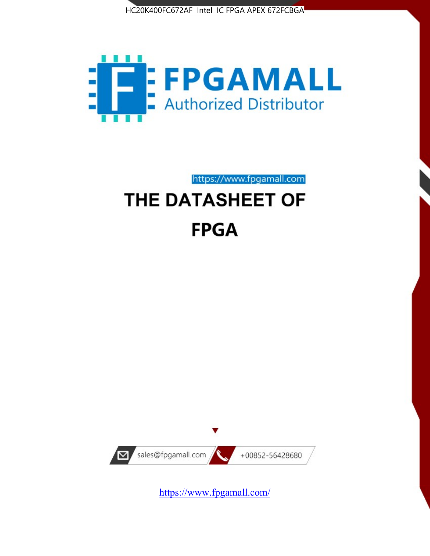



https://www.fpgamall.com

# THE DATASHEET OF **FPGA**



<https://www.fpgamall.com/>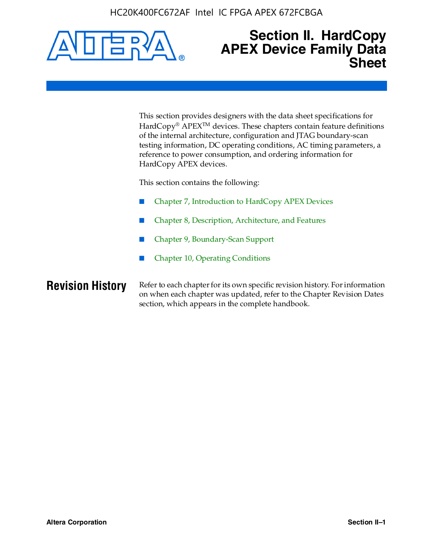

# **Section II. HardCopy APEX Device Family Data Sheet**

This section provides designers with the data sheet specifications for HardCopy<sup>®</sup> APEX<sup>™</sup> devices. These chapters contain feature definitions of the internal architecture, configuration and JTAG boundary-scan testing information, DC operating conditions, AC timing parameters, a reference to power consumption, and ordering information for HardCopy APEX devices.

This section contains the following:

- Chapter 7, Introduction to HardCopy APEX Devices
- Chapter 8, Description, Architecture, and Features
- Chapter 9, Boundary-Scan Support
- Chapter 10, Operating Conditions

**Revision History** Refer to each chapter for its own specific revision history. For information on when each chapter was updated, refer to the Chapter Revision Dates section, which appears in the complete handbook.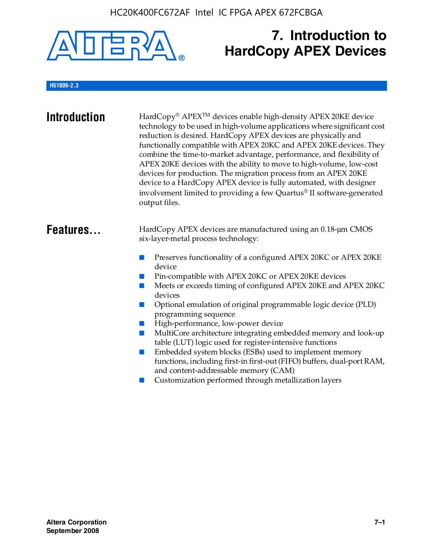

# **7. Introduction to HardCopy APEX Devices**

# **H51006-2.3**

| <b>Introduction</b> | HardCopy® APEX <sup>™</sup> devices enable high-density APEX 20KE device<br>technology to be used in high-volume applications where significant cost<br>reduction is desired. HardCopy APEX devices are physically and<br>functionally compatible with APEX 20KC and APEX 20KE devices. They<br>combine the time-to-market advantage, performance, and flexibility of<br>APEX 20KE devices with the ability to move to high-volume, low-cost<br>devices for production. The migration process from an APEX 20KE<br>device to a HardCopy APEX device is fully automated, with designer<br>involvement limited to providing a few Quartus® II software-generated<br>output files.                                                                                                                                    |
|---------------------|--------------------------------------------------------------------------------------------------------------------------------------------------------------------------------------------------------------------------------------------------------------------------------------------------------------------------------------------------------------------------------------------------------------------------------------------------------------------------------------------------------------------------------------------------------------------------------------------------------------------------------------------------------------------------------------------------------------------------------------------------------------------------------------------------------------------|
| Features            | HardCopy APEX devices are manufactured using an 0.18-um CMOS<br>six-layer-metal process technology:<br>Preserves functionality of a configured APEX 20KC or APEX 20KE<br>device<br>Pin-compatible with APEX 20KC or APEX 20KE devices<br>Meets or exceeds timing of configured APEX 20KE and APEX 20KC<br>devices<br>Optional emulation of original programmable logic device (PLD)<br>programming sequence<br>High-performance, low-power device<br>MultiCore architecture integrating embedded memory and look-up<br>table (LUT) logic used for register-intensive functions<br>Embedded system blocks (ESBs) used to implement memory<br>functions, including first-in first-out (FIFO) buffers, dual-port RAM,<br>and content-addressable memory (CAM)<br>Customization performed through metallization layers |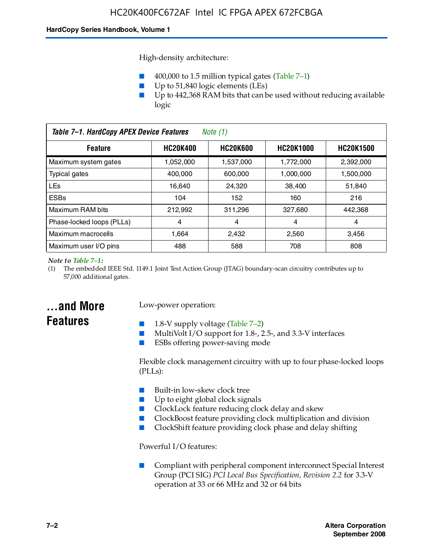High-density architecture:

- 400,000 to 1.5 million typical gates (Table 7–1)
- Up to 51,840 logic elements (LEs)
- Up to 442,368 RAM bits that can be used without reducing available logic

| Table 7-1. HardCopy APEX Device Features<br>Note $(1)$                                       |           |           |           |           |
|----------------------------------------------------------------------------------------------|-----------|-----------|-----------|-----------|
| <b>HC20K600</b><br><b>HC20K1000</b><br><b>HC20K400</b><br><b>HC20K1500</b><br><b>Feature</b> |           |           |           |           |
| Maximum system gates                                                                         | 1,052,000 | 1,537,000 | 1,772,000 | 2,392,000 |
| <b>Typical gates</b>                                                                         | 400.000   | 600,000   | 1.000.000 | 1,500,000 |
| <b>LEs</b>                                                                                   | 16.640    | 24.320    | 38.400    | 51,840    |
| <b>ESBs</b>                                                                                  | 104       | 152       | 160       | 216       |
| Maximum RAM bits                                                                             | 212.992   | 311,296   | 327.680   | 442,368   |
| Phase-locked loops (PLLs)                                                                    | 4         | 4         | 4         | 4         |
| Maximum macrocells                                                                           | 1.664     | 2,432     | 2,560     | 3,456     |
| Maximum user I/O pins                                                                        | 488       | 588       | 708       | 808       |

#### *Note to Table 7–1:*

(1) The embedded IEEE Std. 1149.1 Joint Test Action Group (JTAG) boundary-scan circuitry contributes up to 57,000 additional gates.

# **...and More Features**

Low-power operation:

- 1.8-V supply voltage (Table  $7-2$ )
- MultiVolt I/O support for 1.8-, 2.5-, and 3.3-V interfaces
- ESBs offering power-saving mode

Flexible clock management circuitry with up to four phase-locked loops (PLLs):

- Built-in low-skew clock tree
- Up to eight global clock signals
- ClockLock feature reducing clock delay and skew
- ClockBoost feature providing clock multiplication and division
- ClockShift feature providing clock phase and delay shifting

Powerful I/O features:

■ Compliant with peripheral component interconnect Special Interest Group (PCI SIG) *PCI Local Bus Specification, Revision 2.2* for 3.3-V operation at 33 or 66 MHz and 32 or 64 bits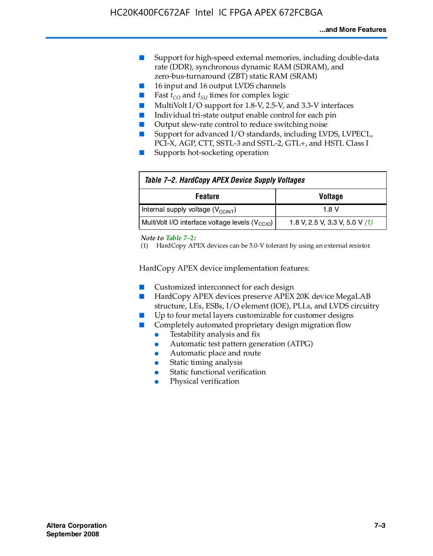- Support for high-speed external memories, including double-data rate (DDR), synchronous dynamic RAM (SDRAM), and zero-bus-turnaround (ZBT) static RAM (SRAM)
- 16 input and 16 output LVDS channels
- Fast  $t_{CO}$  and  $t_{SU}$  times for complex logic
- MultiVolt I/O support for 1.8-V, 2.5-V, and 3.3-V interfaces
- Individual tri-state output enable control for each pin
- Output slew-rate control to reduce switching noise
- Support for advanced I/O standards, including LVDS, LVPECL, PCI-X, AGP, CTT, SSTL-3 and SSTL-2, GTL+, and HSTL Class I
- Supports hot-socketing operation

| Table 7-2. HardCopy APEX Device Supply Voltages             |                                  |
|-------------------------------------------------------------|----------------------------------|
| <b>Voltage</b><br><b>Feature</b>                            |                                  |
| Internal supply voltage (V <sub>CCINT</sub> )               | 1.8 V                            |
| MultiVolt I/O interface voltage levels (V <sub>CCIO</sub> ) | 1.8 V, 2.5 V, 3.3 V, 5.0 V $(1)$ |

#### *Note to Table 7–2:*

(1) HardCopy APEX devices can be 5.0-V tolerant by using an external resistor.

HardCopy APEX device implementation features:

- Customized interconnect for each design
- HardCopy APEX devices preserve APEX 20K device MegaLAB structure, LEs, ESBs, I/O element (IOE), PLLs, and LVDS circuitry
- Up to four metal layers customizable for customer designs
- Completely automated proprietary design migration flow
	- Testability analysis and fix
	- Automatic test pattern generation (ATPG)
	- Automatic place and route
	- Static timing analysis
	- Static functional verification
	- Physical verification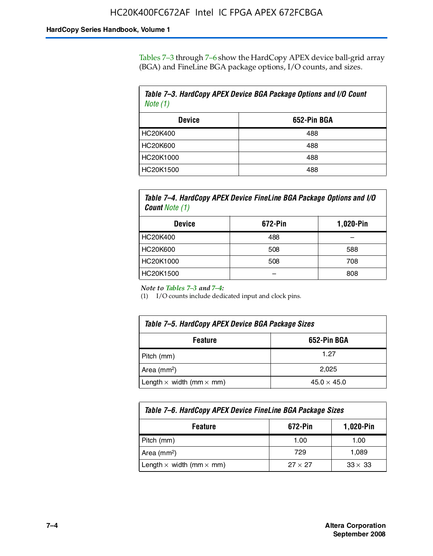Tables 7–3 through 7–6 show the HardCopy APEX device ball-grid array (BGA) and FineLine BGA package options, I/O counts, and sizes.

| Table 7–3. HardCopy APEX Device BGA Package Options and I/O Count<br>Note $(1)$ |     |  |
|---------------------------------------------------------------------------------|-----|--|
| 652-Pin BGA<br><b>Device</b>                                                    |     |  |
| HC20K400                                                                        | 488 |  |
| HC20K600                                                                        | 488 |  |
| HC20K1000                                                                       | 488 |  |
| HC20K1500                                                                       | 488 |  |

*Table 7–4. HardCopy APEX Device FineLine BGA Package Options and I/O Count Note (1)*

| <b>Device</b> | 672-Pin | 1,020-Pin |
|---------------|---------|-----------|
| HC20K400      | 488     |           |
| HC20K600      | 508     | 588       |
| HC20K1000     | 508     | 708       |
| HC20K1500     |         | 808       |

*Note to Tables 7–3 and 7–4:*

(1) I/O counts include dedicated input and clock pins.

| Table 7–5. HardCopy APEX Device BGA Package Sizes            |       |  |
|--------------------------------------------------------------|-------|--|
| 652-Pin BGA<br><b>Feature</b>                                |       |  |
| Pitch (mm)                                                   | 1.27  |  |
| Area (mm <sup>2</sup> )                                      | 2.025 |  |
| Length $\times$ width (mm $\times$ mm)<br>$45.0 \times 45.0$ |       |  |

| Table 7–6. HardCopy APEX Device FineLine BGA Package Sizes |                |                |
|------------------------------------------------------------|----------------|----------------|
| 672-Pin<br>1,020-Pin<br><b>Feature</b>                     |                |                |
| Pitch (mm)                                                 | 1.00           | 1.00           |
| Area ( $mm2$ )                                             | 729            | 1,089          |
| Length $\times$ width (mm $\times$ mm)                     | $27 \times 27$ | $33 \times 33$ |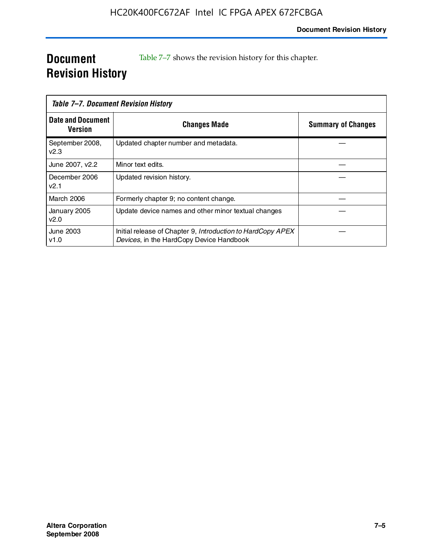# **Document Revision History**

Table 7–7 shows the revision history for this chapter.

| Table 7–7. Document Revision History |                                                                                                         |                           |
|--------------------------------------|---------------------------------------------------------------------------------------------------------|---------------------------|
| <b>Date and Document</b><br>Version  | <b>Changes Made</b>                                                                                     | <b>Summary of Changes</b> |
| September 2008,<br>V <sub>2.3</sub>  | Updated chapter number and metadata.                                                                    |                           |
| June 2007, v2.2                      | Minor text edits.                                                                                       |                           |
| December 2006<br>v2.1                | Updated revision history.                                                                               |                           |
| <b>March 2006</b>                    | Formerly chapter 9; no content change.                                                                  |                           |
| January 2005<br>v2.0                 | Update device names and other minor textual changes                                                     |                           |
| June 2003<br>v1.0                    | Initial release of Chapter 9, Introduction to HardCopy APEX<br>Devices, in the HardCopy Device Handbook |                           |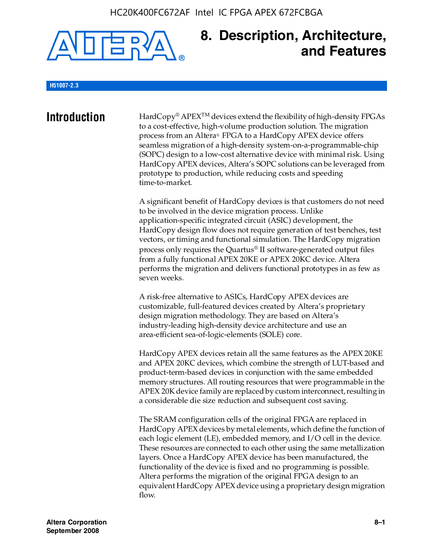

# **8. Description, Architecture, and Features**

### **H51007-2.3**

**Introduction** HardCopy<sup>®</sup> APEX<sup>TM</sup> devices extend the flexibility of high-density FPGAs to a cost-effective, high-volume production solution. The migration process from an Altera® FPGA to a HardCopy APEX device offers seamless migration of a high-density system-on-a-programmable-chip (SOPC) design to a low-cost alternative device with minimal risk. Using HardCopy APEX devices, Altera's SOPC solutions can be leveraged from prototype to production, while reducing costs and speeding time-to-market.

> A significant benefit of HardCopy devices is that customers do not need to be involved in the device migration process. Unlike application-specific integrated circuit (ASIC) development, the HardCopy design flow does not require generation of test benches, test vectors, or timing and functional simulation. The HardCopy migration process only requires the Quartus® II software-generated output files from a fully functional APEX 20KE or APEX 20KC device. Altera performs the migration and delivers functional prototypes in as few as seven weeks.

A risk-free alternative to ASICs, HardCopy APEX devices are customizable, full-featured devices created by Altera's proprietary design migration methodology. They are based on Altera's industry-leading high-density device architecture and use an area-efficient sea-of-logic-elements (SOLE) core.

HardCopy APEX devices retain all the same features as the APEX 20KE and APEX 20KC devices, which combine the strength of LUT-based and product-term-based devices in conjunction with the same embedded memory structures. All routing resources that were programmable in the APEX 20K device family are replaced by custom interconnect, resulting in a considerable die size reduction and subsequent cost saving.

The SRAM configuration cells of the original FPGA are replaced in HardCopy APEX devices by metal elements, which define the function of each logic element (LE), embedded memory, and I/O cell in the device. These resources are connected to each other using the same metallization layers. Once a HardCopy APEX device has been manufactured, the functionality of the device is fixed and no programming is possible. Altera performs the migration of the original FPGA design to an equivalent HardCopy APEX device using a proprietary design migration flow.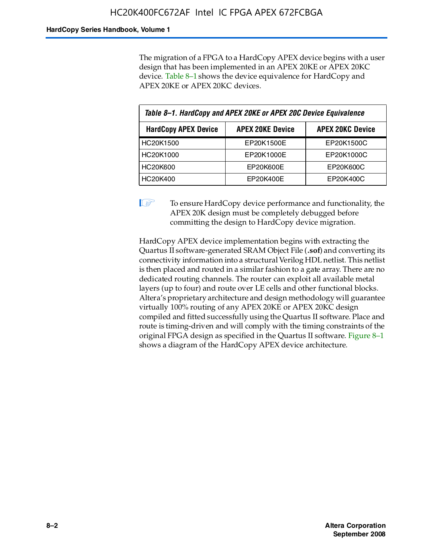The migration of a FPGA to a HardCopy APEX device begins with a user design that has been implemented in an APEX 20KE or APEX 20KC device. Table 8–1 shows the device equivalence for HardCopy and APEX 20KE or APEX 20KC devices.

| Table 8-1. HardCopy and APEX 20KE or APEX 20C Device Equivalence |                         |                         |  |
|------------------------------------------------------------------|-------------------------|-------------------------|--|
| <b>HardCopy APEX Device</b>                                      | <b>APEX 20KE Device</b> | <b>APEX 20KC Device</b> |  |
| HC20K1500                                                        | EP20K1500E              | EP20K1500C              |  |
| HC20K1000                                                        | EP20K1000E              | EP20K1000C              |  |
| <b>HC20K600</b>                                                  | EP20K600E               | EP20K600C               |  |
| HC20K400                                                         | EP20K400E               | EP20K400C               |  |

 $\mathbb{I}$  To ensure HardCopy device performance and functionality, the APEX 20K design must be completely debugged before committing the design to HardCopy device migration.

HardCopy APEX device implementation begins with extracting the Quartus II software-generated SRAM Object File (**.sof**) and converting its connectivity information into a structural Verilog HDL netlist. This netlist is then placed and routed in a similar fashion to a gate array. There are no dedicated routing channels. The router can exploit all available metal layers (up to four) and route over LE cells and other functional blocks. Altera's proprietary architecture and design methodology will guarantee virtually 100% routing of any APEX 20KE or APEX 20KC design compiled and fitted successfully using the Quartus II software. Place and route is timing-driven and will comply with the timing constraints of the original FPGA design as specified in the Quartus II software. Figure 8–1 shows a diagram of the HardCopy APEX device architecture.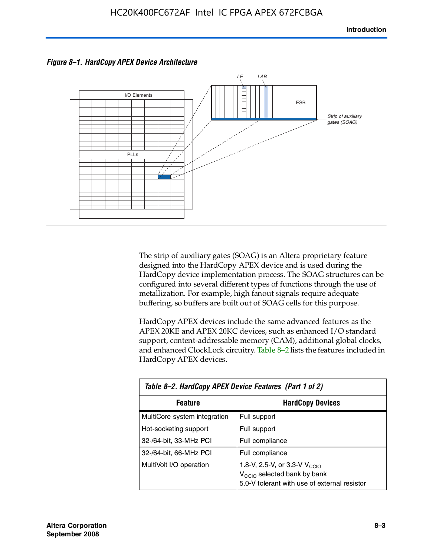



The strip of auxiliary gates (SOAG) is an Altera proprietary feature designed into the HardCopy APEX device and is used during the HardCopy device implementation process. The SOAG structures can be configured into several different types of functions through the use of metallization. For example, high fanout signals require adequate buffering, so buffers are built out of SOAG cells for this purpose.

HardCopy APEX devices include the same advanced features as the APEX 20KE and APEX 20KC devices, such as enhanced I/O standard support, content-addressable memory (CAM), additional global clocks, and enhanced ClockLock circuitry. Table 8–2 lists the features included in HardCopy APEX devices.

| Table 8–2. HardCopy APEX Device Features (Part 1 of 2) |                                                                                                                                     |  |  |
|--------------------------------------------------------|-------------------------------------------------------------------------------------------------------------------------------------|--|--|
| <b>HardCopy Devices</b><br><b>Feature</b>              |                                                                                                                                     |  |  |
| MultiCore system integration                           | Full support                                                                                                                        |  |  |
| Hot-socketing support                                  | Full support                                                                                                                        |  |  |
| 32-/64-bit, 33-MHz PCI                                 | Full compliance                                                                                                                     |  |  |
| 32-/64-bit, 66-MHz PCI                                 | Full compliance                                                                                                                     |  |  |
| MultiVolt I/O operation                                | 1.8-V, 2.5-V, or 3.3-V $V_{\text{CCIO}}$<br>V <sub>CCIO</sub> selected bank by bank<br>5.0-V tolerant with use of external resistor |  |  |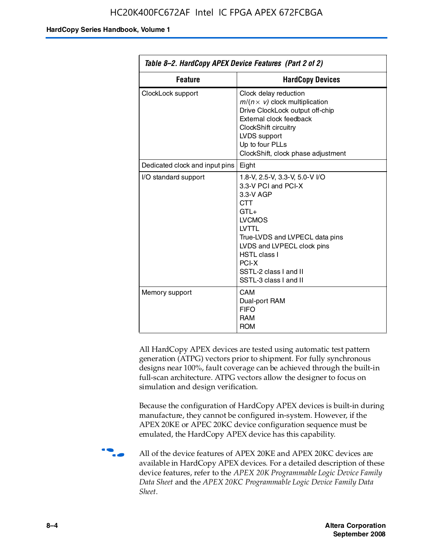| Table 8–2. HardCopy APEX Device Features (Part 2 of 2) |                                                                                                                                                                                                                                                                               |  |
|--------------------------------------------------------|-------------------------------------------------------------------------------------------------------------------------------------------------------------------------------------------------------------------------------------------------------------------------------|--|
| <b>Feature</b><br><b>HardCopy Devices</b>              |                                                                                                                                                                                                                                                                               |  |
| ClockLock support                                      | Clock delay reduction<br>$m/(n \times v)$ clock multiplication<br>Drive ClockLock output off-chip<br>External clock feedback<br>ClockShift circuitry<br>LVDS support<br>Up to four PLLs<br>ClockShift, clock phase adjustment                                                 |  |
| Dedicated clock and input pins                         | Eight                                                                                                                                                                                                                                                                         |  |
| I/O standard support                                   | 1.8-V, 2.5-V, 3.3-V, 5.0-V I/O<br>3.3-V PCI and PCI-X<br>3.3-V AGP<br><b>CTT</b><br>$GTL+$<br><b>LVCMOS</b><br><b>IVTTI</b><br>True-LVDS and LVPECL data pins<br>LVDS and LVPECL clock pins<br><b>HSTL class I</b><br>PCI-X<br>SSTL-2 class I and II<br>SSTL-3 class I and II |  |
| Memory support                                         | CAM<br>Dual-port RAM<br><b>FIFO</b><br><b>RAM</b><br><b>ROM</b>                                                                                                                                                                                                               |  |

All HardCopy APEX devices are tested using automatic test pattern generation (ATPG) vectors prior to shipment. For fully synchronous designs near 100%, fault coverage can be achieved through the built-in full-scan architecture. ATPG vectors allow the designer to focus on simulation and design verification.

Because the configuration of HardCopy APEX devices is built-in during manufacture, they cannot be configured in-system. However, if the APEX 20KE or APEC 20KC device configuration sequence must be emulated, the HardCopy APEX device has this capability.

**f all of the device features of APEX 20KE and APEX 20KC devices are** available in HardCopy APEX devices. For a detailed description of these device features, refer to the *APEX 20K Programmable Logic Device Family Data Sheet* and the *APEX 20KC Programmable Logic Device Family Data Sheet*.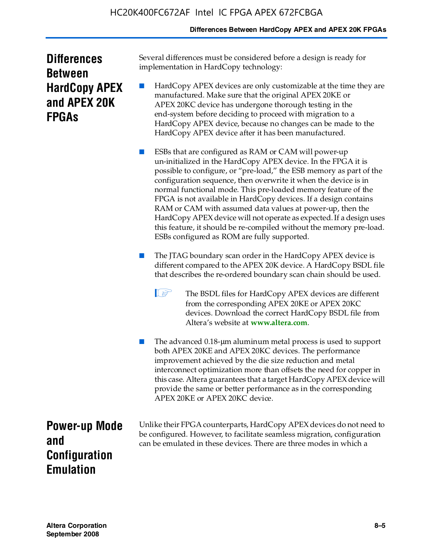### **Differences Between HardCopy APEX and APEX 20K FPGAs**

| <b>Differences</b>   |
|----------------------|
| <b>Between</b>       |
| <b>HardCopy APEX</b> |
| and APEX 20K         |
| <b>FPGAs</b>         |

Several differences must be considered before a design is ready for implementation in HardCopy technology:

HardCopy APEX devices are only customizable at the time they are manufactured. Make sure that the original APEX 20KE or APEX 20KC device has undergone thorough testing in the end-system before deciding to proceed with migration to a HardCopy APEX device, because no changes can be made to the HardCopy APEX device after it has been manufactured.

ESBs that are configured as RAM or CAM will power-up un-initialized in the HardCopy APEX device. In the FPGA it is possible to configure, or "pre-load," the ESB memory as part of the configuration sequence, then overwrite it when the device is in normal functional mode. This pre-loaded memory feature of the FPGA is not available in HardCopy devices. If a design contains RAM or CAM with assumed data values at power-up, then the HardCopy APEX device will not operate as expected. If a design uses this feature, it should be re-compiled without the memory pre-load. ESBs configured as ROM are fully supported.

- The JTAG boundary scan order in the HardCopy APEX device is different compared to the APEX 20K device. A HardCopy BSDL file that describes the re-ordered boundary scan chain should be used.
	- **1 The BSDL files for HardCopy APEX devices are different** from the corresponding APEX 20KE or APEX 20KC devices. Download the correct HardCopy BSDL file from Altera's website at **[www.altera.com](http://www.altera.com)**.

The advanced 0.18-μm aluminum metal process is used to support both APEX 20KE and APEX 20KC devices. The performance improvement achieved by the die size reduction and metal interconnect optimization more than offsets the need for copper in this case. Altera guarantees that a target HardCopy APEX device will provide the same or better performance as in the corresponding APEX 20KE or APEX 20KC device.

**Power-up Mode and Configuration Emulation**

Unlike their FPGA counterparts, HardCopy APEX devices do not need to be configured. However, to facilitate seamless migration, configuration can be emulated in these devices. There are three modes in which a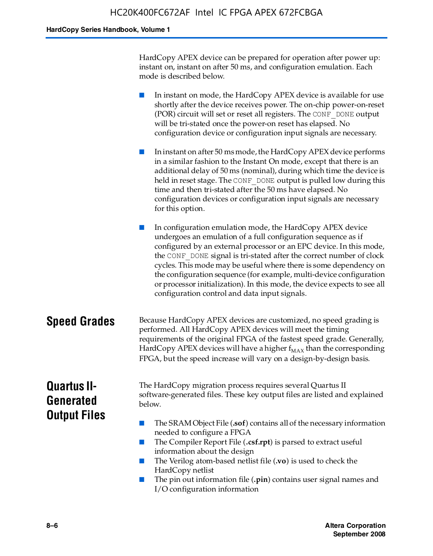HardCopy APEX device can be prepared for operation after power up: instant on, instant on after 50 ms, and configuration emulation. Each mode is described below.

■ In instant on mode, the HardCopy APEX device is available for use shortly after the device receives power. The on-chip power-on-reset (POR) circuit will set or reset all registers. The CONF\_DONE output will be tri-stated once the power-on reset has elapsed. No configuration device or configuration input signals are necessary.

In instant on after 50 ms mode, the HardCopy APEX device performs in a similar fashion to the Instant On mode, except that there is an additional delay of 50 ms (nominal), during which time the device is held in reset stage. The CONF DONE output is pulled low during this time and then tri-stated after the 50 ms have elapsed. No configuration devices or configuration input signals are necessary for this option.

In configuration emulation mode, the HardCopy APEX device undergoes an emulation of a full configuration sequence as if configured by an external processor or an EPC device. In this mode, the CONF\_DONE signal is tri-stated after the correct number of clock cycles. This mode may be useful where there is some dependency on the configuration sequence (for example, multi-device configuration or processor initialization). In this mode, the device expects to see all configuration control and data input signals.

### **Speed Grades** Because HardCopy APEX devices are customized, no speed grading is performed. All HardCopy APEX devices will meet the timing requirements of the original FPGA of the fastest speed grade. Generally, HardCopy APEX devices will have a higher  $f_{MAX}$  than the corresponding FPGA, but the speed increase will vary on a design-by-design basis.

# **Quartus II-Generated Output Files**

The HardCopy migration process requires several Quartus II software-generated files. These key output files are listed and explained below.

- The SRAM Object File (**.sof**) contains all of the necessary information needed to configure a FPGA
- The Compiler Report File (.csf.rpt) is parsed to extract useful information about the design
- The Verilog atom-based netlist file (**.vo**) is used to check the HardCopy netlist
- The pin out information file (**.pin**) contains user signal names and I/O configuration information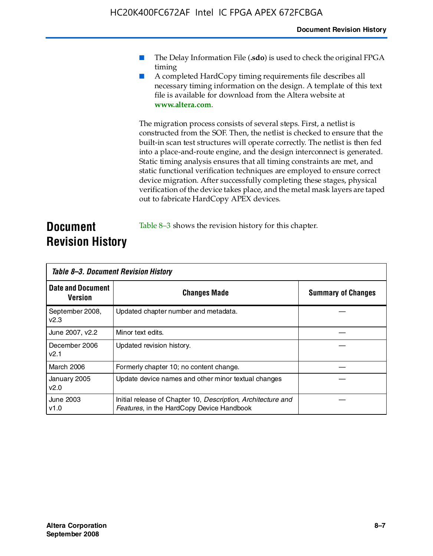- The Delay Information File (.sdo) is used to check the original FPGA timing
- A completed HardCopy timing requirements file describes all necessary timing information on the design. A template of this text file is available for download from the Altera website at **www.altera.com**.

The migration process consists of several steps. First, a netlist is constructed from the SOF. Then, the netlist is checked to ensure that the built-in scan test structures will operate correctly. The netlist is then fed into a place-and-route engine, and the design interconnect is generated. Static timing analysis ensures that all timing constraints are met, and static functional verification techniques are employed to ensure correct device migration. After successfully completing these stages, physical verification of the device takes place, and the metal mask layers are taped out to fabricate HardCopy APEX devices.

### **Document Revision History** Table 8–3 shows the revision history for this chapter.

| Table 8–3. Document Revision History |                                                                                                           |                           |  |  |
|--------------------------------------|-----------------------------------------------------------------------------------------------------------|---------------------------|--|--|
| <b>Date and Document</b><br>Version  | <b>Changes Made</b>                                                                                       | <b>Summary of Changes</b> |  |  |
| September 2008,<br>V <sub>2.3</sub>  | Updated chapter number and metadata.                                                                      |                           |  |  |
| June 2007, v2.2                      | Minor text edits.                                                                                         |                           |  |  |
| December 2006<br>v2.1                | Updated revision history.                                                                                 |                           |  |  |
| March 2006                           | Formerly chapter 10; no content change.                                                                   |                           |  |  |
| January 2005<br>v2.0                 | Update device names and other minor textual changes                                                       |                           |  |  |
| <b>June 2003</b><br>v1.0             | Initial release of Chapter 10, Description, Architecture and<br>Features, in the HardCopy Device Handbook |                           |  |  |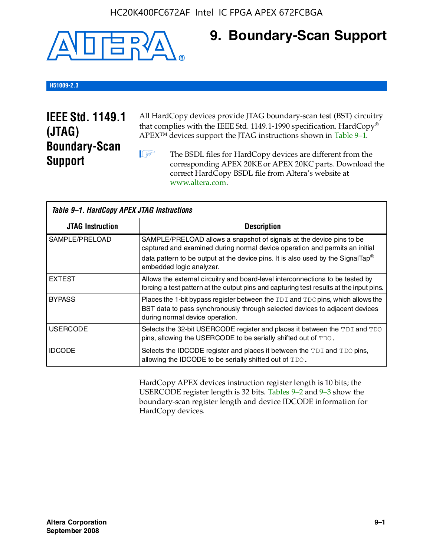

# **9. Boundary-Scan Support**

### **H51009-2.3**

# **IEEE Std. 1149.1 (JTAG) Boundary-Scan Support**

All HardCopy devices provide JTAG boundary-scan test (BST) circuitry that complies with the IEEE Std. 1149.1-1990 specification. HardCopy® APEX™ devices support the JTAG instructions shown in Table 9–1.

**1 The BSDL files for HardCopy devices are different from the** corresponding APEX 20KE or APEX 20KC parts. Download the [correct HardCopy BSDL file from Altera's website at](http://www.altera.com)  www.altera.com.

| Table 9-1. HardCopy APEX JTAG Instructions |                                                                                                                                                                                                                                                                                |  |  |  |
|--------------------------------------------|--------------------------------------------------------------------------------------------------------------------------------------------------------------------------------------------------------------------------------------------------------------------------------|--|--|--|
| <b>JTAG Instruction</b>                    | <b>Description</b>                                                                                                                                                                                                                                                             |  |  |  |
| SAMPLE/PRELOAD                             | SAMPLE/PRELOAD allows a snapshot of signals at the device pins to be<br>captured and examined during normal device operation and permits an initial<br>data pattern to be output at the device pins. It is also used by the SignalTap <sup>®</sup><br>embedded logic analyzer. |  |  |  |
| <b>EXTEST</b>                              | Allows the external circuitry and board-level interconnections to be tested by<br>forcing a test pattern at the output pins and capturing test results at the input pins.                                                                                                      |  |  |  |
| <b>BYPASS</b>                              | Places the 1-bit bypass register between the TDI and TDO pins, which allows the<br>BST data to pass synchronously through selected devices to adjacent devices<br>during normal device operation.                                                                              |  |  |  |
| <b>USERCODE</b>                            | Selects the 32-bit USERCODE register and places it between the TDI and TDO<br>pins, allowing the USERCODE to be serially shifted out of TDO.                                                                                                                                   |  |  |  |
| <b>IDCODE</b>                              | Selects the IDCODE register and places it between the TDI and TDO pins,<br>allowing the IDCODE to be serially shifted out of TDO.                                                                                                                                              |  |  |  |

HardCopy APEX devices instruction register length is 10 bits; the USERCODE register length is 32 bits. Tables 9–2 and 9–3 show the boundary-scan register length and device IDCODE information for HardCopy devices.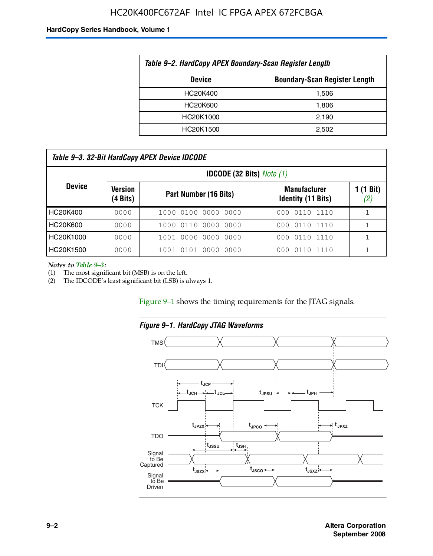# HC20K400FC672AF Intel IC FPGA APEX 672FCBGA

#### **HardCopy Series Handbook, Volume 1**

| Table 9-2. HardCopy APEX Boundary-Scan Register Length |       |  |  |  |
|--------------------------------------------------------|-------|--|--|--|
| <b>Boundary-Scan Register Length</b><br><b>Device</b>  |       |  |  |  |
| HC20K400                                               | 1,506 |  |  |  |
| HC20K600                                               | 1,806 |  |  |  |
| HC20K1000                                              | 2,190 |  |  |  |
| HC20K1500                                              | 2.502 |  |  |  |

| Table 9–3. 32-Bit HardCopy APEX Device IDCODE |                     |                        |                                                  |                           |  |
|-----------------------------------------------|---------------------|------------------------|--------------------------------------------------|---------------------------|--|
| <b>IDCODE (32 Bits)</b> <i>Note (1)</i>       |                     |                        |                                                  |                           |  |
| <b>Device</b>                                 | Version<br>(4 Bits) | Part Number (16 Bits)  | <b>Manufacturer</b><br><b>Identity (11 Bits)</b> | $1(1 \text{ Bit})$<br>(2) |  |
| HC20K400                                      | 0000                | 1000 0100 0000 0000    | 0110 1110<br>000                                 |                           |  |
| HC20K600                                      | 0000                | 1000 0110 0000 0000    | 000 0110 1110                                    |                           |  |
| HC20K1000                                     | 0000                | 1001 0000 0000 0000    | 000 0110 1110                                    |                           |  |
| HC20K1500                                     | 0000                | 1001 0101 0000<br>0000 | 0110 1110<br>000                                 |                           |  |

*Notes to Table 9–3:*

(1) The most significant bit (MSB) is on the left.

(2) The IDCODE's least significant bit (LSB) is always 1.

Figure 9–1 shows the timing requirements for the JTAG signals.



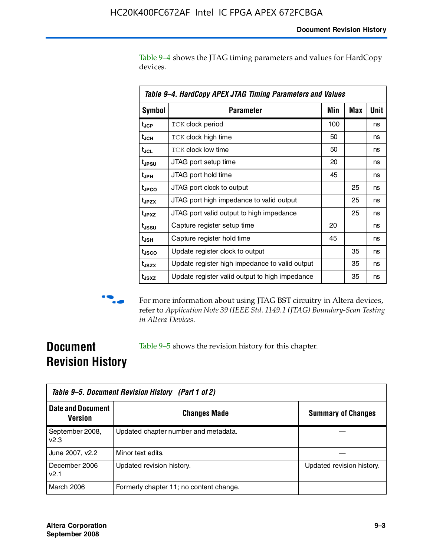Table 9–4 shows the JTAG timing parameters and values for HardCopy devices.

| Table 9–4. HardCopy APEX JTAG Timing Parameters and Values |                                                |     |     |      |  |
|------------------------------------------------------------|------------------------------------------------|-----|-----|------|--|
| <b>Symbol</b>                                              | Parameter                                      | Min | Max | Unit |  |
| t <sub>JCP</sub>                                           | <b>TCK clock period</b>                        | 100 |     | ns   |  |
| t <sub>JCH</sub>                                           | TCK clock high time                            | 50  |     | ns   |  |
| t <sub>JCL</sub>                                           | <b>TCK clock low time</b>                      | 50  |     | ns   |  |
| t <sub>JPSU</sub>                                          | JTAG port setup time                           | 20  |     | ns   |  |
| t <sub>JPH</sub>                                           | JTAG port hold time                            | 45  |     | ns   |  |
| t <sub>JPCO</sub>                                          | JTAG port clock to output                      |     | 25  | ns   |  |
| t <sub>JPZX</sub>                                          | JTAG port high impedance to valid output       |     | 25  | ns   |  |
| t <sub>JPXZ</sub>                                          | JTAG port valid output to high impedance       |     | 25  | ns   |  |
| t <sub>ussu</sub>                                          | Capture register setup time                    | 20  |     | ns   |  |
| t <sub>JSH</sub>                                           | Capture register hold time                     | 45  |     | ns   |  |
| t <sub>JSCO</sub>                                          | Update register clock to output                |     | 35  | ns   |  |
| t <sub>JSZX</sub>                                          | Update register high impedance to valid output |     | 35  | ns   |  |
| t <sub>JSXZ</sub>                                          | Update register valid output to high impedance |     | 35  | ns   |  |



 $\bullet\hspace{0.1cm}$  For more information about using JTAG BST circuitry in Altera devices, refer to *Application Note 39 (IEEE Std. 1149.1 (JTAG) Boundary-Scan Testing in Altera Devices*.

# **Document Revision History**

Table 9–5 shows the revision history for this chapter.

| Table 9–5. Document Revision History (Part 1 of 2) |                                         |                           |  |  |
|----------------------------------------------------|-----------------------------------------|---------------------------|--|--|
| <b>Date and Document</b><br>Version                | <b>Changes Made</b>                     | <b>Summary of Changes</b> |  |  |
| September 2008,<br>v2.3                            | Updated chapter number and metadata.    |                           |  |  |
| June 2007, v2.2                                    | Minor text edits.                       |                           |  |  |
| December 2006<br>v2.1                              | Updated revision history.               | Updated revision history. |  |  |
| March 2006                                         | Formerly chapter 11; no content change. |                           |  |  |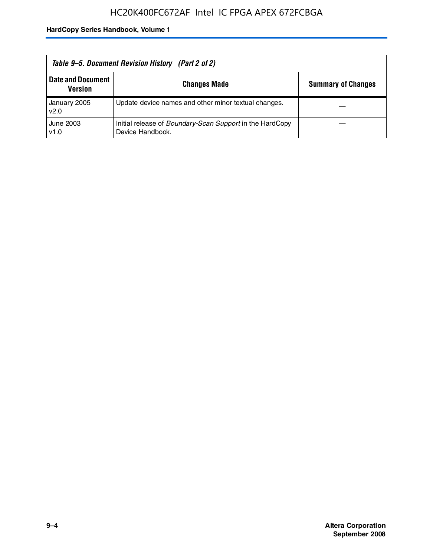| Table 9–5. Document Revision History (Part 2 of 2) |                                                                                     |                           |  |
|----------------------------------------------------|-------------------------------------------------------------------------------------|---------------------------|--|
| <b>Date and Document</b><br><b>Version</b>         | <b>Changes Made</b>                                                                 | <b>Summary of Changes</b> |  |
| January 2005<br>v2.0                               | Update device names and other minor textual changes.                                |                           |  |
| June 2003<br>v1.0                                  | Initial release of <i>Boundary-Scan Support</i> in the HardCopy<br>Device Handbook. |                           |  |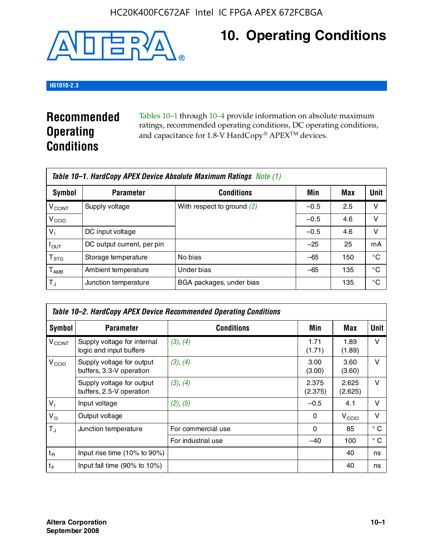

# **10. Operating Conditions**

### **H51010-2.3**

# **Recommended Operating Conditions**

Tables 10–1 through 10–4 provide information on absolute maximum ratings, recommended operating conditions, DC operating conditions, and capacitance for 1.8-V HardCopy® APEX<sup>TM</sup> devices.

| Table 10–1. HardCopy APEX Device Absolute Maximum Ratings Note (1) |                            |                              |        |     |             |
|--------------------------------------------------------------------|----------------------------|------------------------------|--------|-----|-------------|
| Symbol                                                             | <b>Parameter</b>           | <b>Conditions</b>            | Min    | Max | <b>Unit</b> |
| <b>V<sub>CCINT</sub></b>                                           | Supply voltage             | With respect to ground $(2)$ | $-0.5$ | 2.5 | v           |
| V <sub>CCIO</sub>                                                  |                            |                              | $-0.5$ | 4.6 | ν           |
| $V_1$                                                              | DC input voltage           |                              | $-0.5$ | 4.6 | v           |
| $I_{OUT}$                                                          | DC output current, per pin |                              | $-25$  | 25  | mA          |
| $\mathsf{T}_{\text{STG}}$                                          | Storage temperature        | No bias                      | $-65$  | 150 | °€          |
| $T_{\sf AMB}$                                                      | Ambient temperature        | Under bias                   | $-65$  | 135 | °C          |
| $T_{\rm J}$                                                        | Junction temperature       | BGA packages, under bias     |        | 135 | °C          |

|                          | Table 10–2. HardCopy APEX Device Recommended Operating Conditions |                    |                  |                   |              |  |  |
|--------------------------|-------------------------------------------------------------------|--------------------|------------------|-------------------|--------------|--|--|
| Symbol                   | <b>Parameter</b>                                                  | <b>Conditions</b>  | Min              | Max               | <b>Unit</b>  |  |  |
| <b>V<sub>CCINT</sub></b> | Supply voltage for internal<br>logic and input buffers            | (3), (4)           | 1.71<br>(1.71)   | 1.89<br>(1.89)    | $\vee$       |  |  |
| V <sub>CCIO</sub>        | Supply voltage for output<br>buffers, 3.3-V operation             | (3), (4)           | 3.00<br>(3.00)   | 3.60<br>(3.60)    | $\vee$       |  |  |
|                          | Supply voltage for output<br>buffers, 2.5-V operation             | (3), (4)           | 2.375<br>(2.375) | 2.625<br>(2.625)  | $\vee$       |  |  |
| $V_1$                    | Input voltage                                                     | (2), (5)           | $-0.5$           | 4.1               | v            |  |  |
| $V_{\rm O}$              | Output voltage                                                    |                    | 0                | V <sub>CCIO</sub> | $\vee$       |  |  |
| $T_{\rm J}$              | Junction temperature                                              | For commercial use | 0                | 85                | $^{\circ}$ C |  |  |
|                          |                                                                   | For industrial use | $-40$            | 100               | $^{\circ}$ C |  |  |
| $t_{R}$                  | Input rise time (10% to 90%)                                      |                    |                  | 40                | ns           |  |  |
| $t_F$                    | Input fall time $(90\% \text{ to } 10\%)$                         |                    |                  | 40                | ns           |  |  |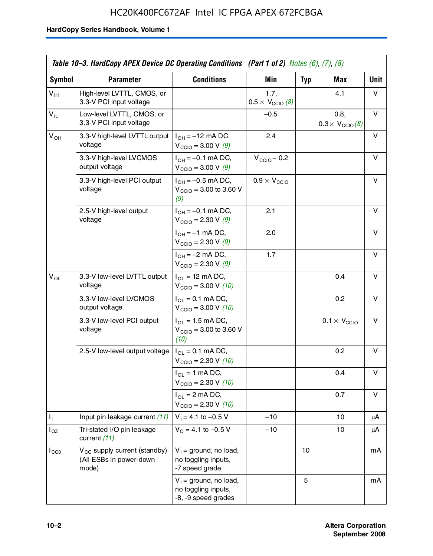# HC20K400FC672AF Intel IC FPGA APEX 672FCBGA

|                 | Table 10–3. HardCopy APEX Device DC Operating Conditions (Part 1 of 2) Notes (6), (7), (8) |                                                                        |                                          |            |                                         |      |  |
|-----------------|--------------------------------------------------------------------------------------------|------------------------------------------------------------------------|------------------------------------------|------------|-----------------------------------------|------|--|
| Symbol          | <b>Parameter</b>                                                                           | <b>Conditions</b>                                                      | <b>Min</b>                               | <b>Typ</b> | Max                                     | Unit |  |
| $V_{\text{IH}}$ | High-level LVTTL, CMOS, or<br>3.3-V PCI input voltage                                      |                                                                        | 1.7.<br>$0.5 \times V_{\text{CCIO}}$ (8) |            | 4.1                                     | v    |  |
| $V_{IL}$        | Low-level LVTTL, CMOS, or<br>3.3-V PCI input voltage                                       |                                                                        | $-0.5$                                   |            | 0.8,<br>$0.3 \times V_{\text{CCIO}}(8)$ | V    |  |
| $V_{OH}$        | 3.3-V high-level LVTTL output<br>voltage                                                   | $I_{OH} = -12$ mA DC,<br>$V_{\text{CCIO}} = 3.00 V (9)$                | 2.4                                      |            |                                         | v    |  |
|                 | 3.3-V high-level LVCMOS<br>output voltage                                                  | $I_{OH} = -0.1$ mA DC,<br>$V_{\text{CCIO}} = 3.00 \text{ V} (9)$       | $V_{\text{CCIO}} - 0.2$                  |            |                                         | v    |  |
|                 | 3.3-V high-level PCI output<br>voltage                                                     | $I_{OH} = -0.5$ mA DC,<br>$V_{\text{CCIO}} = 3.00$ to 3.60 V<br>(9)    | $0.9 \times V_{\text{CCIO}}$             |            |                                         | v    |  |
|                 | 2.5-V high-level output<br>voltage                                                         | $I_{OH} = -0.1$ mA DC,<br>$V_{\text{CCIO}} = 2.30 \text{ V} (9)$       | 2.1                                      |            |                                         | v    |  |
|                 |                                                                                            | $I_{OH} = -1$ mA DC,<br>$V_{\text{CCIO}} = 2.30 \text{ V} (9)$         | 2.0                                      |            |                                         | v    |  |
|                 |                                                                                            | $I_{OH} = -2$ mA DC,<br>$V_{\text{CCIO}} = 2.30 \text{ V} (9)$         | 1.7                                      |            |                                         | v    |  |
| $V_{OL}$        | 3.3-V low-level LVTTL output<br>voltage                                                    | $I_{OL}$ = 12 mA DC,<br>$V_{\text{CCIO}} = 3.00 V (10)$                |                                          |            | 0.4                                     | v    |  |
|                 | 3.3-V low-level LVCMOS<br>output voltage                                                   | $I_{OL} = 0.1$ mA DC,<br>$V_{\text{CCIO}} = 3.00 \text{ V} (10)$       |                                          |            | 0.2                                     | v    |  |
|                 | 3.3-V low-level PCI output<br>voltage                                                      | $I_{OL}$ = 1.5 mA DC,<br>$V_{\text{CCIO}} = 3.00$ to 3.60 V<br>(10)    |                                          |            | $0.1 \times V_{\text{CCIO}}$            | v    |  |
|                 | 2.5-V low-level output voltage                                                             | $I_{OL} = 0.1$ mA DC,<br>$V_{\text{CCIO}} = 2.30 \text{ V} (10)$       |                                          |            | 0.2                                     | v    |  |
|                 |                                                                                            | $I_{OL}$ = 1 mA DC,<br>$V_{\text{CCIO}} = 2.30 V (10)$                 |                                          |            | 0.4                                     | v    |  |
|                 |                                                                                            | $I_{OL}$ = 2 mA DC,<br>$V_{\text{CCIO}} = 2.30 V (10)$                 |                                          |            | 0.7                                     | v    |  |
| Τ,              | Input pin leakage current (11)                                                             | $V_1 = 4.1$ to $-0.5$ V                                                | $-10$                                    |            | 10                                      | μA   |  |
| $I_{OZ}$        | Tri-stated I/O pin leakage<br>current (11)                                                 | $V_0$ = 4.1 to -0.5 V                                                  | $-10$                                    |            | 10                                      | μA   |  |
| $I_{CC0}$       | $V_{CC}$ supply current (standby)<br>(All ESBs in power-down<br>mode)                      | $V_1$ = ground, no load,<br>no toggling inputs,<br>-7 speed grade      |                                          | 10         |                                         | mA   |  |
|                 |                                                                                            | $V_1$ = ground, no load,<br>no toggling inputs,<br>-8, -9 speed grades |                                          | 5          |                                         | mA   |  |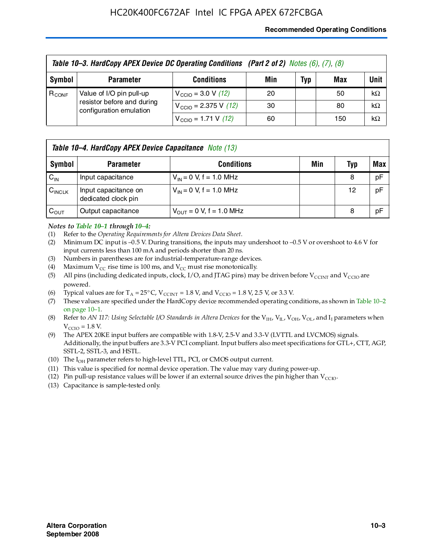### **Recommended Operating Conditions**

|            | Table 10-3. HardCopy APEX Device DC Operating Conditions (Part 2 of 2) Notes (6), (7), (8) |                                          |     |     |     |           |  |  |
|------------|--------------------------------------------------------------------------------------------|------------------------------------------|-----|-----|-----|-----------|--|--|
| Symbol     | <b>Parameter</b>                                                                           | <b>Conditions</b>                        | Min | Typ | Max | Unit      |  |  |
| $R_{CONF}$ | Value of I/O pin pull-up<br>resistor before and during<br>configuration emulation          | $V_{\text{CCIO}} = 3.0 V (12)$           | 20  |     | 50  | $k\Omega$ |  |  |
|            |                                                                                            | $V_{\text{CCIO}} = 2.375 \text{ V}$ (12) | 30  |     | 80  | $k\Omega$ |  |  |
|            |                                                                                            | $V_{\text{CCIO}} = 1.71 \text{ V}$ (12)  | 60  |     | 150 | $k\Omega$ |  |  |

|                    | <b>Table 10–4. HardCopy APEX Device Capacitance</b> Note (13) |                                     |     |     |     |  |
|--------------------|---------------------------------------------------------------|-------------------------------------|-----|-----|-----|--|
| Symbol             | <b>Parameter</b>                                              | <b>Conditions</b>                   | Min | Typ | Max |  |
| $C_{\text{IN}}$    | Input capacitance                                             | $V_{IN} = 0$ V, f = 1.0 MHz         |     | 8   | pF  |  |
| $C_{\text{INCLK}}$ | Input capacitance on<br>dedicated clock pin                   | $V_{IN} = 0$ V, f = 1.0 MHz         |     | 12  | pF  |  |
| $C_{OUT}$          | Output capacitance                                            | $V_{\text{OUT}} = 0$ V, f = 1.0 MHz |     | 8   | pF  |  |

### *Notes to Table 10–1 through 10–4:*

- (1) Refer to the *Operating Requirements for Altera Devices Data Sheet*.
- (2) Minimum DC input is –0.5 V. During transitions, the inputs may undershoot to –0.5 V or overshoot to 4.6 V for input currents less than 100 mA and periods shorter than 20 ns.
- (3) Numbers in parentheses are for industrial-temperature-range devices.
- (4) Maximum  $V_{CC}$  rise time is 100 ms, and  $V_{CC}$  must rise monotonically.
- (5) All pins (including dedicated inputs, clock, I/O, and JTAG pins) may be driven before  $V_{\text{CCINT}}$  and  $V_{\text{CCIO}}$  are powered.
- (6) Typical values are for  $T_A = 25^{\circ}$  C,  $V_{CCTNT} = 1.8$  V, and  $V_{CCTO} = 1.8$  V, 2.5 V, or 3.3 V.
- (7) These values are specified under the HardCopy device recommended operating conditions, as shown in Table 10–2 on page 10–1.
- (8) Refer to *AN 117: Using Selectable I/O Standards in Altera Devices* for the V<sub>IH</sub>, V<sub>IL</sub>, V<sub>OH</sub>, V<sub>OL</sub>, and I<sub>I</sub> parameters when  $V_{\text{CCIO}} = 1.8 \text{ V}$ .
- (9) The APEX 20KE input buffers are compatible with 1.8-V, 2.5-V and 3.3-V (LVTTL and LVCMOS) signals. Additionally, the input buffers are 3.3-V PCI compliant. Input buffers also meet specifications for GTL+, CTT, AGP, SSTL-2, SSTL-3, and HSTL.
- (10) The  $I_{OH}$  parameter refers to high-level TTL, PCI, or CMOS output current.
- (11) This value is specified for normal device operation. The value may vary during power-up.
- (12) Pin pull-up resistance values will be lower if an external source drives the pin higher than  $V_{CCIO}$ .
- (13) Capacitance is sample-tested only.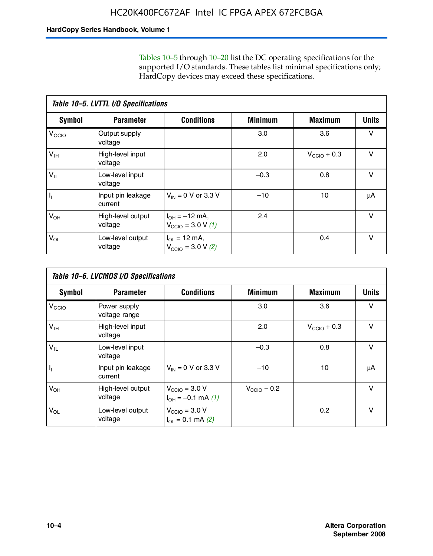Tables 10–5 through 10–20 list the DC operating specifications for the supported I/O standards. These tables list minimal specifications only; HardCopy devices may exceed these specifications.

|                   | Table 10-5. LVTTL I/O Specifications |                                                                 |                |                         |              |  |  |  |  |
|-------------------|--------------------------------------|-----------------------------------------------------------------|----------------|-------------------------|--------------|--|--|--|--|
| Symbol            | <b>Parameter</b>                     | <b>Conditions</b>                                               | <b>Minimum</b> | <b>Maximum</b>          | <b>Units</b> |  |  |  |  |
| V <sub>CCIO</sub> | Output supply<br>voltage             |                                                                 | 3.0            | 3.6                     | $\vee$       |  |  |  |  |
| $V_{IH}$          | High-level input<br>voltage          |                                                                 | 2.0            | $V_{\text{CCIO}} + 0.3$ | v            |  |  |  |  |
| $V_{IL}$          | Low-level input<br>voltage           |                                                                 | $-0.3$         | 0.8                     | $\vee$       |  |  |  |  |
| $\mathbf{l}_{1}$  | Input pin leakage<br>current         | $V_{IN} = 0$ V or 3.3 V                                         | $-10$          | 10                      | μA           |  |  |  |  |
| $V_{OH}$          | High-level output<br>voltage         | $I_{OH} = -12$ mA,<br>$V_{\text{CCIO}} = 3.0 V(1)$              | 2.4            |                         | v            |  |  |  |  |
| $V_{OL}$          | Low-level output<br>voltage          | $I_{\Omega I} = 12 \text{ mA}$<br>$V_{\text{CCIO}} = 3.0 V (2)$ |                | 0.4                     | $\vee$       |  |  |  |  |

| Table 10-6. LVCMOS I/O Specifications |                               |                                                       |                         |                  |              |  |  |  |
|---------------------------------------|-------------------------------|-------------------------------------------------------|-------------------------|------------------|--------------|--|--|--|
| Symbol                                | <b>Parameter</b>              | <b>Conditions</b>                                     | <b>Minimum</b>          | <b>Maximum</b>   | <b>Units</b> |  |  |  |
| V <sub>CCIO</sub>                     | Power supply<br>voltage range |                                                       | 3.0                     | 3.6              | $\vee$       |  |  |  |
| $V_{\text{IH}}$                       | High-level input<br>voltage   |                                                       | 2.0                     | $V_{CClO}$ + 0.3 | $\vee$       |  |  |  |
| $V_{IL}$                              | Low-level input<br>voltage    |                                                       | $-0.3$                  | 0.8              | $\vee$       |  |  |  |
| H,                                    | Input pin leakage<br>current  | $V_{IN} = 0$ V or 3.3 V                               | $-10$                   | 10               | μA           |  |  |  |
| $V_{OH}$                              | High-level output<br>voltage  | $V_{\text{CCIO}} = 3.0 V$<br>$I_{OH} = -0.1$ mA $(1)$ | $V_{\text{CCIO}} - 0.2$ |                  | $\vee$       |  |  |  |
| $V_{OL}$                              | Low-level output<br>voltage   | $V_{\text{CCIO}} = 3.0 V$<br>$I_{OL} = 0.1$ mA (2)    |                         | 0.2              | $\vee$       |  |  |  |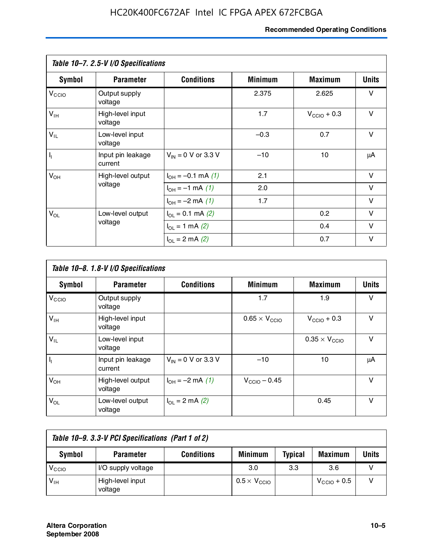# **Recommended Operating Conditions**

|                   | Table 10-7. 2.5-V I/O Specifications |                           |                |                         |              |
|-------------------|--------------------------------------|---------------------------|----------------|-------------------------|--------------|
| Symbol            | <b>Parameter</b>                     | <b>Conditions</b>         | <b>Minimum</b> | <b>Maximum</b>          | <b>Units</b> |
| V <sub>CCIO</sub> | Output supply<br>voltage             |                           | 2.375          | 2.625                   | v            |
| $V_{\text{IH}}$   | High-level input<br>voltage          |                           | 1.7            | $V_{\text{CCIO}} + 0.3$ | $\vee$       |
| $V_{IL}$          | Low-level input<br>voltage           |                           | $-0.3$         | 0.7                     | $\vee$       |
| $\mathbf{l}_1$    | Input pin leakage<br>current         | $V_{IN} = 0$ V or 3.3 V   | $-10$          | 10                      | μA           |
| $V_{OH}$          | High-level output                    | $I_{OH} = -0.1$ mA $(1)$  | 2.1            |                         | $\vee$       |
|                   | voltage                              | $I_{OH} = -1$ mA (1)      | 2.0            |                         | V            |
|                   |                                      | $I_{OH} = -2$ mA (1)      | 1.7            |                         | v            |
| $V_{OL}$          | Low-level output                     | $I_{\Omega}$ = 0.1 mA (2) |                | 0.2                     | v            |
|                   | voltage                              | $I_{OL} = 1$ mA (2)       |                | 0.4                     | $\vee$       |
|                   |                                      | $I_{OL} = 2$ mA (2)       |                | 0.7                     | v            |

|                   | Table 10-8. 1.8-V I/O Specifications |                         |                               |                               |              |  |  |  |  |
|-------------------|--------------------------------------|-------------------------|-------------------------------|-------------------------------|--------------|--|--|--|--|
| Symbol            | <b>Parameter</b>                     | <b>Conditions</b>       | <b>Minimum</b>                | <b>Maximum</b>                | <b>Units</b> |  |  |  |  |
| V <sub>CCIO</sub> | Output supply<br>voltage             |                         | 1.7                           | 1.9                           | v            |  |  |  |  |
| $V_{IH}$          | High-level input<br>voltage          |                         | $0.65 \times V_{\text{CCIO}}$ | $V_{\text{CCIO}} + 0.3$       | v            |  |  |  |  |
| $V_{IL}$          | Low-level input<br>voltage           |                         |                               | $0.35 \times V_{\text{CCIO}}$ | $\vee$       |  |  |  |  |
| $\mathbf{l}_{1}$  | Input pin leakage<br>current         | $V_{IN} = 0$ V or 3.3 V | $-10$                         | 10                            | μA           |  |  |  |  |
| $V_{OH}$          | High-level output<br>voltage         | $I_{OH} = -2$ mA (1)    | $V_{\text{CCIO}} - 0.45$      |                               | v            |  |  |  |  |
| $V_{OL}$          | Low-level output<br>voltage          | $I_{\Omega}$ = 2 mA (2) |                               | 0.45                          | $\vee$       |  |  |  |  |

| Table 10-9. 3.3-V PCI Specifications (Part 1 of 2) |                             |                   |                              |                |                         |       |  |
|----------------------------------------------------|-----------------------------|-------------------|------------------------------|----------------|-------------------------|-------|--|
| Symbol                                             | <b>Parameter</b>            | <b>Conditions</b> | <b>Minimum</b>               | <b>Typical</b> | <b>Maximum</b>          | Units |  |
| V <sub>CIO</sub>                                   | I/O supply voltage          |                   | 3.0                          | 3.3            | 3.6                     |       |  |
| $V_{\text{IH}}$                                    | High-level input<br>voltage |                   | $0.5 \times V_{\text{CCIO}}$ |                | $V_{\text{CCIO}} + 0.5$ |       |  |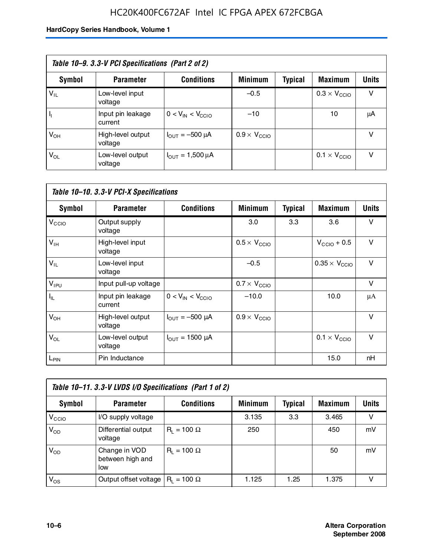# HC20K400FC672AF Intel IC FPGA APEX 672FCBGA

| Table 10-9. 3.3-V PCI Specifications (Part 2 of 2) |                              |                                        |                              |         |                              |              |  |
|----------------------------------------------------|------------------------------|----------------------------------------|------------------------------|---------|------------------------------|--------------|--|
| Symbol                                             | <b>Parameter</b>             | <b>Conditions</b>                      | <b>Minimum</b>               | Typical | <b>Maximum</b>               | <b>Units</b> |  |
| $V_{IL}$                                           | Low-level input<br>voltage   |                                        | $-0.5$                       |         | $0.3 \times V_{\text{CCIO}}$ | v            |  |
|                                                    | Input pin leakage<br>current | $0 < V_{IN} < V_{CCIO}$                | $-10$                        |         | 10                           | μA           |  |
| $V_{OH}$                                           | High-level output<br>voltage | $I_{\text{OUT}} = -500 \mu A$          | $0.9 \times V_{\text{CCIO}}$ |         |                              | v            |  |
| $V_{OL}$                                           | Low-level output<br>voltage  | $I_{\text{OUT}} = 1,500 \,\mu\text{A}$ |                              |         | $0.1 \times V_{\text{CCIO}}$ | v            |  |

| Table 10-10. 3.3-V PCI-X Specifications |                              |                               |                              |                |                               |              |  |
|-----------------------------------------|------------------------------|-------------------------------|------------------------------|----------------|-------------------------------|--------------|--|
| <b>Symbol</b>                           | <b>Parameter</b>             | <b>Conditions</b>             | <b>Minimum</b>               | <b>Typical</b> | Maximum                       | <b>Units</b> |  |
| V <sub>CCIO</sub>                       | Output supply<br>voltage     |                               | 3.0                          | 3.3            | 3.6                           | v            |  |
| $V_{\text{IH}}$                         | High-level input<br>voltage  |                               | $0.5 \times V_{\text{CCIO}}$ |                | $V_{CClO}$ + 0.5              | $\vee$       |  |
| $V_{IL}$                                | Low-level input<br>voltage   |                               | $-0.5$                       |                | $0.35 \times V_{\text{CCIO}}$ | $\vee$       |  |
| $V_{IPU}$                               | Input pull-up voltage        |                               | $0.7 \times V_{\text{CCIO}}$ |                |                               | $\vee$       |  |
| $I_{\rm IL}$                            | Input pin leakage<br>current | $0 < V_{IN} < V_{CGIO}$       | $-10.0$                      |                | 10.0                          | μA           |  |
| $V_{OH}$                                | High-level output<br>voltage | $I_{\text{OUT}} = -500 \mu A$ | $0.9 \times V_{\text{CCIO}}$ |                |                               | $\vee$       |  |
| $V_{OL}$                                | Low-level output<br>voltage  | $I_{\text{OUT}} = 1500 \mu A$ |                              |                | $0.1 \times V_{\text{CCIO}}$  | $\vee$       |  |
| L <sub>PIN</sub>                        | Pin Inductance               |                               |                              |                | 15.0                          | nH           |  |

| Table 10-11. 3.3-V LVDS I/O Specifications (Part 1 of 2) |                                          |                    |                |                |                |              |  |  |
|----------------------------------------------------------|------------------------------------------|--------------------|----------------|----------------|----------------|--------------|--|--|
| Symbol                                                   | <b>Parameter</b>                         | <b>Conditions</b>  | <b>Minimum</b> | <b>Typical</b> | <b>Maximum</b> | <b>Units</b> |  |  |
| V <sub>CIO</sub>                                         | I/O supply voltage                       |                    | 3.135          | 3.3            | 3.465          | v            |  |  |
| $V_{OD}$                                                 | Differential output<br>voltage           | $R_1 = 100 \Omega$ | 250            |                | 450            | mV           |  |  |
| $V_{OD}$                                                 | Change in VOD<br>between high and<br>low | $R_i = 100 \Omega$ |                |                | 50             | mV           |  |  |
| $V_{OS}$                                                 | Output offset voltage                    | $R_1 = 100 \Omega$ | 1.125          | 1.25           | 1.375          | v            |  |  |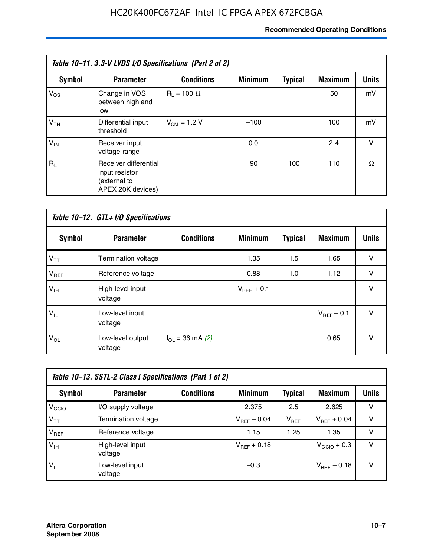# **Recommended Operating Conditions**

| Table 10-11. 3.3-V LVDS I/O Specifications (Part 2 of 2) |                                                                              |                    |                |                |                |              |  |
|----------------------------------------------------------|------------------------------------------------------------------------------|--------------------|----------------|----------------|----------------|--------------|--|
| Symbol                                                   | <b>Parameter</b>                                                             | <b>Conditions</b>  | <b>Minimum</b> | <b>Typical</b> | <b>Maximum</b> | <b>Units</b> |  |
| $V_{OS}$                                                 | Change in VOS<br>between high and<br>low                                     | $R_1 = 100 \Omega$ |                |                | 50             | mV           |  |
| V <sub>TH</sub>                                          | Differential input<br>threshold                                              | $V_{CM}$ = 1.2 V   | $-100$         |                | 100            | mV           |  |
| $V_{IN}$                                                 | Receiver input<br>voltage range                                              |                    | 0.0            |                | 2.4            | v            |  |
| $R_{\perp}$                                              | Receiver differential<br>input resistor<br>(external to<br>APEX 20K devices) |                    | 90             | 100            | 110            | Ω            |  |

| Table 10-12. GTL+ I/O Specifications |                             |                          |                 |                |                 |              |  |
|--------------------------------------|-----------------------------|--------------------------|-----------------|----------------|-----------------|--------------|--|
| <b>Symbol</b>                        | <b>Parameter</b>            | <b>Conditions</b>        | <b>Minimum</b>  | <b>Typical</b> | <b>Maximum</b>  | <b>Units</b> |  |
| $V_{TT}$                             | Termination voltage         |                          | 1.35            | 1.5            | 1.65            | v            |  |
| $V_{REF}$                            | Reference voltage           |                          | 0.88            | 1.0            | 1.12            | $\vee$       |  |
| $V_{IH}$                             | High-level input<br>voltage |                          | $V_{REF}$ + 0.1 |                |                 | $\vee$       |  |
| $V_{IL}$                             | Low-level input<br>voltage  |                          |                 |                | $V_{BFF}$ – 0.1 | $\vee$       |  |
| $V_{OL}$                             | Low-level output<br>voltage | $I_{\Omega}$ = 36 mA (2) |                 |                | 0.65            | $\vee$       |  |

| Table 10–13. SSTL-2 Class I Specifications (Part 1 of 2) |                             |                   |                  |           |                         |              |  |
|----------------------------------------------------------|-----------------------------|-------------------|------------------|-----------|-------------------------|--------------|--|
| Symbol                                                   | <b>Parameter</b>            | <b>Conditions</b> | <b>Minimum</b>   | Typical   | <b>Maximum</b>          | <b>Units</b> |  |
| V <sub>CCIO</sub>                                        | I/O supply voltage          |                   | 2.375            | 2.5       | 2.625                   | v            |  |
| $V_{TT}$                                                 | Termination voltage         |                   | $V_{REF}$ – 0.04 | $V_{REF}$ | $V_{REF}$ + 0.04        | v            |  |
| $V_{BEF}$                                                | Reference voltage           |                   | 1.15             | 1.25      | 1.35                    | v            |  |
| $V_{IH}$                                                 | High-level input<br>voltage |                   | $V_{REF}$ + 0.18 |           | $V_{\text{CCIO}} + 0.3$ | v            |  |
| $V_{\rm IL}$                                             | Low-level input<br>voltage  |                   | $-0.3$           |           | $V_{BFE}$ – 0.18        | v            |  |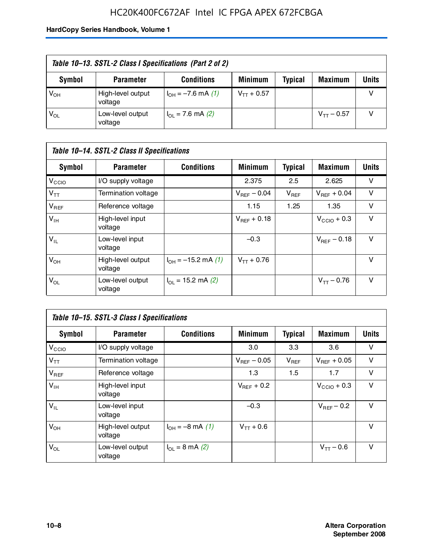# HC20K400FC672AF Intel IC FPGA APEX 672FCBGA

| Table 10–13. SSTL-2 Class I Specifications (Part 2 of 2) |                              |                           |                 |                |                 |              |  |
|----------------------------------------------------------|------------------------------|---------------------------|-----------------|----------------|-----------------|--------------|--|
| Symbol                                                   | <b>Parameter</b>             | <b>Conditions</b>         | <b>Minimum</b>  | <b>Typical</b> | <b>Maximum</b>  | <b>Units</b> |  |
| $V_{OH}$                                                 | High-level output<br>voltage | $I_{OH} = -7.6$ mA (1)    | $V_{TT}$ + 0.57 |                |                 |              |  |
| $V_{OL}$                                                 | Low-level output<br>voltage  | $I_{\Omega}$ = 7.6 mA (2) |                 |                | $V_{TT}$ – 0.57 |              |  |

| Table 10–14. SSTL-2 Class II Specifications |                              |                                       |                         |                |                  |        |  |
|---------------------------------------------|------------------------------|---------------------------------------|-------------------------|----------------|------------------|--------|--|
| <b>Symbol</b>                               | <b>Parameter</b>             | <b>Conditions</b>                     | <b>Minimum</b>          | <b>Typical</b> | <b>Maximum</b>   | Units  |  |
| V <sub>CCIO</sub>                           | I/O supply voltage           |                                       | 2.375                   | 2.5            | 2.625            | v      |  |
| $V_{TT}$                                    | Termination voltage          |                                       | $V_{BFF}$ – 0.04        | $V_{REF}$      | $V_{BFF}$ + 0.04 | v      |  |
| $V_{REF}$                                   | Reference voltage            |                                       | 1.15                    | 1.25           | 1.35             | v      |  |
| $V_{IH}$                                    | High-level input<br>voltage  |                                       | $V_{\text{BFE}} + 0.18$ |                | $V_{CCD}$ + 0.3  | v      |  |
| $V_{IL}$                                    | Low-level input<br>voltage   |                                       | $-0.3$                  |                | $V_{BFE}$ – 0.18 | $\vee$ |  |
| $V_{OH}$                                    | High-level output<br>voltage | $I_{OH} = -15.2$ mA (1)               | $V_{TT}$ + 0.76         |                |                  | $\vee$ |  |
| $V_{OL}$                                    | Low-level output<br>voltage  | $I_{\text{O1}} = 15.2 \text{ mA} (2)$ |                         |                | $V_{TT} - 0.76$  | $\vee$ |  |

| Table 10–15. SSTL-3 Class I Specifications |                              |                         |                         |                |                         |              |  |
|--------------------------------------------|------------------------------|-------------------------|-------------------------|----------------|-------------------------|--------------|--|
| <b>Symbol</b>                              | <b>Parameter</b>             | <b>Conditions</b>       | <b>Minimum</b>          | <b>Typical</b> | <b>Maximum</b>          | <b>Units</b> |  |
| V <sub>CCIO</sub>                          | I/O supply voltage           |                         | 3.0                     | 3.3            | 3.6                     | $\vee$       |  |
| $V_{TT}$                                   | Termination voltage          |                         | $V_{\text{BFE}} - 0.05$ | $V_{REF}$      | $V_{BFF}$ + 0.05        | v            |  |
| $V_{REF}$                                  | Reference voltage            |                         | 1.3                     | 1.5            | 1.7                     | v            |  |
| $V_{\text{IH}}$                            | High-level input<br>voltage  |                         | $V_{BEF}$ + 0.2         |                | $V_{\text{CCIO}} + 0.3$ | v            |  |
| $V_{IL}$                                   | Low-level input<br>voltage   |                         | $-0.3$                  |                | $V_{BFF}$ – 0.2         | v            |  |
| $V_{OH}$                                   | High-level output<br>voltage | $I_{OH} = -8$ mA (1)    | $V_{TT} + 0.6$          |                |                         | v            |  |
| $V_{OL}$                                   | Low-level output<br>voltage  | $I_{\Omega}$ = 8 mA (2) |                         |                | $V_{TT} - 0.6$          | v            |  |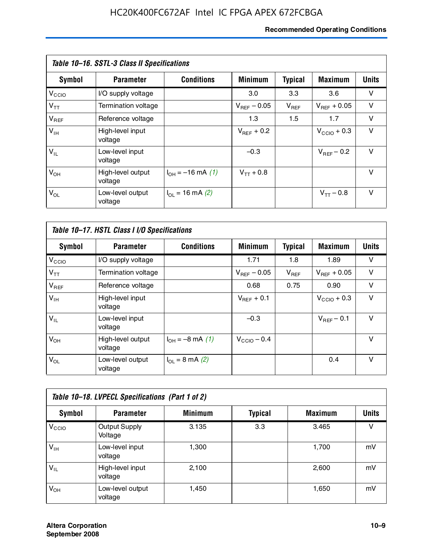# **Recommended Operating Conditions**

| Table 10–16. SSTL-3 Class II Specifications |                              |                          |                         |                |                  |              |  |
|---------------------------------------------|------------------------------|--------------------------|-------------------------|----------------|------------------|--------------|--|
| Symbol                                      | <b>Parameter</b>             | <b>Conditions</b>        | <b>Minimum</b>          | <b>Typical</b> | <b>Maximum</b>   | <b>Units</b> |  |
| V <sub>CCIO</sub>                           | I/O supply voltage           |                          | 3.0                     | 3.3            | 3.6              | v            |  |
| $V_{TT}$                                    | Termination voltage          |                          | $V_{\text{BFE}} - 0.05$ | $V_{REF}$      | $V_{BFF}$ + 0.05 | v            |  |
| $V_{REF}$                                   | Reference voltage            |                          | 1.3                     | 1.5            | 1.7              | v            |  |
| $V_{IH}$                                    | High-level input<br>voltage  |                          | $V_{BFF}$ + 0.2         |                | $V_{CCD}$ + 0.3  | v            |  |
| $V_{IL}$                                    | Low-level input<br>voltage   |                          | $-0.3$                  |                | $V_{BFF}$ – 0.2  | $\vee$       |  |
| $V_{OH}$                                    | High-level output<br>voltage | $I_{OH} = -16$ mA (1)    | $V_{TT}$ + 0.8          |                |                  | v            |  |
| $V_{OL}$                                    | Low-level output<br>voltage  | $I_{\Omega}$ = 16 mA (2) |                         |                | $V_{TT} - 0.8$   | v            |  |

| Table 10-17. HSTL Class I I/O Specifications |                              |                                 |                         |                |                         |        |  |
|----------------------------------------------|------------------------------|---------------------------------|-------------------------|----------------|-------------------------|--------|--|
| Symbol                                       | <b>Parameter</b>             | <b>Conditions</b>               | <b>Minimum</b>          | <b>Typical</b> | <b>Maximum</b>          | Units  |  |
| V <sub>CCIO</sub>                            | I/O supply voltage           |                                 | 1.71                    | 1.8            | 1.89                    | v      |  |
| $V_{TT}$                                     | Termination voltage          |                                 | $V_{\text{BFE}} - 0.05$ | $V_{REF}$      | $V_{BFF}$ + 0.05        | $\vee$ |  |
| $V_{REF}$                                    | Reference voltage            |                                 | 0.68                    | 0.75           | 0.90                    | $\vee$ |  |
| $V_{\text{IH}}$                              | High-level input<br>voltage  |                                 | $V_{BFF}$ + 0.1         |                | $V_{\text{CCIO}} + 0.3$ | $\vee$ |  |
| $V_{IL}$                                     | Low-level input<br>voltage   |                                 | $-0.3$                  |                | $V_{BFF}$ – 0.1         | $\vee$ |  |
| $V_{OH}$                                     | High-level output<br>voltage | $I_{OH} = -8$ mA (1)            | $V_{\text{CCIO}} - 0.4$ |                |                         | v      |  |
| $V_{OL}$                                     | Low-level output<br>voltage  | $I_{\Omega} = 8 \text{ mA}$ (2) |                         |                | 0.4                     | $\vee$ |  |

| Table 10-18. LVPECL Specifications (Part 1 of 2) |                             |                |         |                |              |  |  |
|--------------------------------------------------|-----------------------------|----------------|---------|----------------|--------------|--|--|
| Symbol                                           | <b>Parameter</b>            | <b>Minimum</b> | Typical | <b>Maximum</b> | <b>Units</b> |  |  |
| V <sub>CCIO</sub>                                | Output Supply<br>Voltage    | 3.135          | 3.3     | 3.465          | v            |  |  |
| $V_{IH}$                                         | Low-level input<br>voltage  | 1,300          |         | 1,700          | mV           |  |  |
| $V_{IL}$                                         | High-level input<br>voltage | 2,100          |         | 2,600          | mV           |  |  |
| $V_{OH}$                                         | Low-level output<br>voltage | 1,450          |         | 1,650          | mV           |  |  |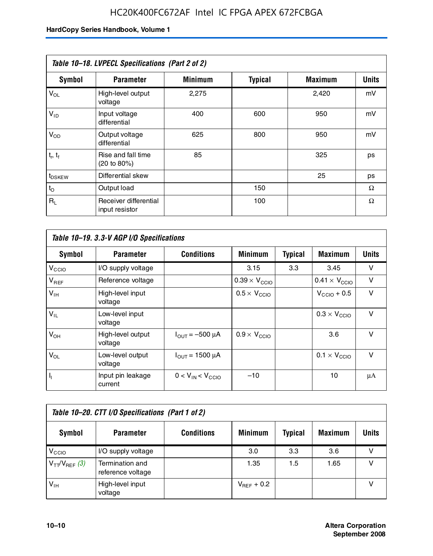| Table 10-18. LVPECL Specifications (Part 2 of 2) |                                         |                |                |                |              |  |  |
|--------------------------------------------------|-----------------------------------------|----------------|----------------|----------------|--------------|--|--|
| Symbol                                           | <b>Parameter</b>                        | <b>Minimum</b> | <b>Typical</b> | <b>Maximum</b> | <b>Units</b> |  |  |
| $V_{OL}$                                         | High-level output<br>voltage            | 2,275          |                | 2,420          | mV           |  |  |
| $V_{ID}$                                         | Input voltage<br>differential           | 400            | 600            | 950            | mV           |  |  |
| $V_{OD}$                                         | Output voltage<br>differential          | 625            | 800            | 950            | mV           |  |  |
| $t_r$ , $t_f$                                    | Rise and fall time<br>(20 to 80%)       | 85             |                | 325            | ps           |  |  |
| t <sub>DSKEW</sub>                               | Differential skew                       |                |                | 25             | ps           |  |  |
| $t_{\rm O}$                                      | Output load                             |                | 150            |                | Ω            |  |  |
| $R_{\rm L}$                                      | Receiver differential<br>input resistor |                | 100            |                | Ω            |  |  |

| Table 10–19. 3.3-V AGP I/O Specifications |                              |                               |                               |                |                               |              |  |
|-------------------------------------------|------------------------------|-------------------------------|-------------------------------|----------------|-------------------------------|--------------|--|
| Symbol                                    | <b>Parameter</b>             | <b>Conditions</b>             | <b>Minimum</b>                | <b>Typical</b> | <b>Maximum</b>                | <b>Units</b> |  |
| V <sub>CCIO</sub>                         | I/O supply voltage           |                               | 3.15                          | 3.3            | 3.45                          | v            |  |
| $V_{REF}$                                 | Reference voltage            |                               | $0.39 \times V_{\text{CCIO}}$ |                | $0.41 \times V_{\text{CCIO}}$ | v            |  |
| $V_{\text{IH}}$                           | High-level input<br>voltage  |                               | $0.5 \times V_{\text{CCIO}}$  |                | $V_{CClO}$ + 0.5              | v            |  |
| $V_{IL}$                                  | Low-level input<br>voltage   |                               |                               |                | $0.3 \times V_{\text{CCIO}}$  | $\vee$       |  |
| $V_{OH}$                                  | High-level output<br>voltage | $I_{\text{OUT}} = -500 \mu A$ | $0.9 \times V_{\text{CCIO}}$  |                | 3.6                           | $\vee$       |  |
| $V_{OL}$                                  | Low-level output<br>voltage  | $I_{OUT}$ = 1500 µA           |                               |                | $0.1 \times V_{\text{CCIO}}$  | $\vee$       |  |
| $I_1$                                     | Input pin leakage<br>current | $0 < V_{IN} < V_{CCIO}$       | $-10$                         |                | 10                            | μA           |  |

| Table 10–20. CTT I/O Specifications (Part 1 of 2) |                                      |                   |                 |                |                |       |  |
|---------------------------------------------------|--------------------------------------|-------------------|-----------------|----------------|----------------|-------|--|
| <b>Symbol</b>                                     | <b>Parameter</b>                     | <b>Conditions</b> | <b>Minimum</b>  | <b>Typical</b> | <b>Maximum</b> | Units |  |
| V <sub>CIO</sub>                                  | I/O supply voltage                   |                   | 3.0             | 3.3            | 3.6            |       |  |
| $V_{TT}/V_{REF}$ (3)                              | Termination and<br>reference voltage |                   | 1.35            | 1.5            | 1.65           |       |  |
| $V_{IH}$                                          | High-level input<br>voltage          |                   | $V_{BFF}$ + 0.2 |                |                |       |  |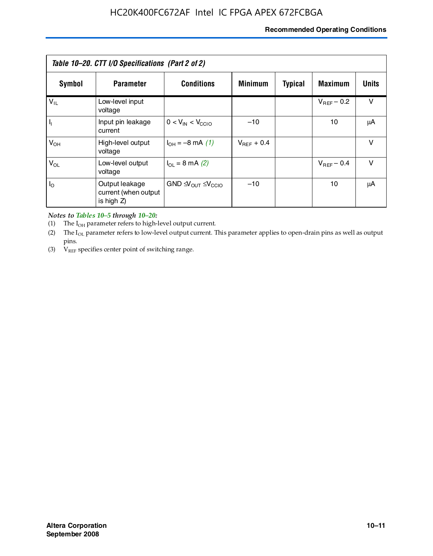### **Recommended Operating Conditions**

| Table 10–20. CTT I/O Specifications (Part 2 of 2) |                                                      |                                             |                 |                |                 |              |  |
|---------------------------------------------------|------------------------------------------------------|---------------------------------------------|-----------------|----------------|-----------------|--------------|--|
| Symbol                                            | <b>Parameter</b>                                     | <b>Conditions</b>                           | <b>Minimum</b>  | <b>Typical</b> | <b>Maximum</b>  | <b>Units</b> |  |
| $V_{IL}$                                          | Low-level input<br>voltage                           |                                             |                 |                | $V_{BFF}$ – 0.2 | $\vee$       |  |
| H,                                                | Input pin leakage<br>current                         | $0 < V_{IN} < V_{CCIO}$                     | $-10$           |                | 10              | μA           |  |
| $V_{OH}$                                          | High-level output<br>voltage                         | $I_{OH} = -8$ mA (1)                        | $V_{REF}$ + 0.4 |                |                 | v            |  |
| $V_{OL}$                                          | Low-level output<br>voltage                          | $I_{\Omega}$ = 8 mA (2)                     |                 |                | $V_{BFF}$ – 0.4 | $\vee$       |  |
| $I_{\odot}$                                       | Output leakage<br>current (when output<br>is high Z) | $GND \trianglelefteq V_{OUT} \leq V_{CCIO}$ | $-10$           |                | 10              | μA           |  |

*Notes to Tables 10–5 through 10–20:*

(1) The  $I_{OH}$  parameter refers to high-level output current.

(2) The  $I_{OL}$  parameter refers to low-level output current. This parameter applies to open-drain pins as well as output pins.

(3)  $V_{REF}$  specifies center point of switching range.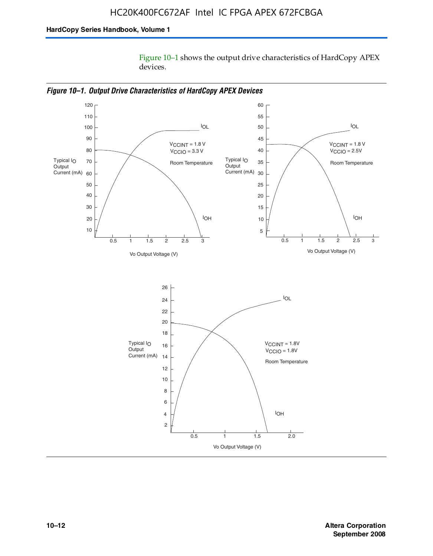Figure 10–1 shows the output drive characteristics of HardCopy APEX devices.



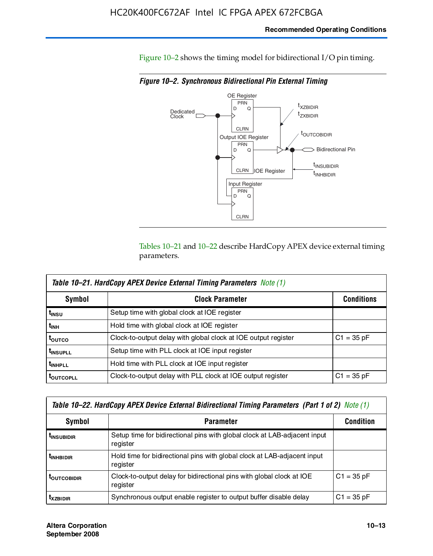#### **Recommended Operating Conditions**

Figure 10–2 shows the timing model for bidirectional I/O pin timing.

*Figure 10–2. Synchronous Bidirectional Pin External Timing*



Tables 10–21 and 10–22 describe HardCopy APEX device external timing parameters.

| <b>Table 10–21. HardCopy APEX Device External Timing Parameters Note (1)</b> |                                                                |                   |  |  |  |  |
|------------------------------------------------------------------------------|----------------------------------------------------------------|-------------------|--|--|--|--|
| Symbol                                                                       | <b>Clock Parameter</b>                                         | <b>Conditions</b> |  |  |  |  |
| t <sub>insu</sub>                                                            | Setup time with global clock at IOE register                   |                   |  |  |  |  |
| t <sub>інн</sub>                                                             | Hold time with global clock at IOE register                    |                   |  |  |  |  |
| τ <sub>ουτςο</sub>                                                           | Clock-to-output delay with global clock at IOE output register | $C1 = 35 pF$      |  |  |  |  |
| <b>t</b> INSUPLL                                                             | Setup time with PLL clock at IOE input register                |                   |  |  |  |  |
| <b>t</b> INHPLL                                                              | Hold time with PLL clock at IOE input register                 |                   |  |  |  |  |
| <b>TOUTCOPLL</b>                                                             | Clock-to-output delay with PLL clock at IOE output register    | $C1 = 35 pF$      |  |  |  |  |

| Table 10–22. HardCopy APEX Device External Bidirectional Timing Parameters (Part 1 of 2) Note (1) |                                                                                       |              |  |  |  |  |
|---------------------------------------------------------------------------------------------------|---------------------------------------------------------------------------------------|--------------|--|--|--|--|
| Symbol                                                                                            | <b>Condition</b>                                                                      |              |  |  |  |  |
| <b><i>L</i>INSUBIDIR</b>                                                                          | Setup time for bidirectional pins with global clock at LAB-adjacent input<br>register |              |  |  |  |  |
| <b><i>L</i>INHBIDIR</b>                                                                           | Hold time for bidirectional pins with global clock at LAB-adjacent input<br>register  |              |  |  |  |  |
| <b>LOUTCOBIDIR</b>                                                                                | Clock-to-output delay for bidirectional pins with global clock at IOE<br>register     | $C1 = 35 pF$ |  |  |  |  |
| <b>T</b> x <sub>7BIDIR</sub>                                                                      | Synchronous output enable register to output buffer disable delay                     | $C1 = 35 pF$ |  |  |  |  |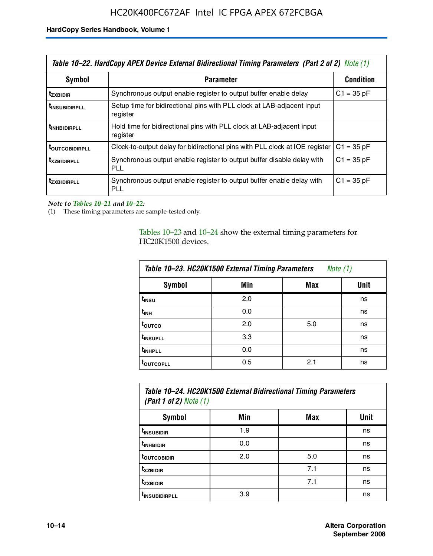| Table 10–22. HardCopy APEX Device External Bidirectional Timing Parameters (Part 2 of 2) Note (1) |                                                                                    |                  |  |  |  |
|---------------------------------------------------------------------------------------------------|------------------------------------------------------------------------------------|------------------|--|--|--|
| Symbol                                                                                            | <b>Parameter</b>                                                                   | <b>Condition</b> |  |  |  |
| t <sub>zxbidir</sub>                                                                              | Synchronous output enable register to output buffer enable delay                   | $C1 = 35 pF$     |  |  |  |
| <b>t</b> insubidirpll                                                                             | Setup time for bidirectional pins with PLL clock at LAB-adiacent input<br>register |                  |  |  |  |
| <b><i>LINHBIDIRPLL</i></b>                                                                        | Hold time for bidirectional pins with PLL clock at LAB-adjacent input<br>register  |                  |  |  |  |
| <b>TOUTCOBIDIRPLL</b>                                                                             | Clock-to-output delay for bidirectional pins with PLL clock at IOE register        | $C1 = 35 pF$     |  |  |  |
| <b>TXZBIDIRPLL</b>                                                                                | Synchronous output enable register to output buffer disable delay with<br>PLL      | $C1 = 35 pF$     |  |  |  |
| <i>t</i> zxbidirpll                                                                               | Synchronous output enable register to output buffer enable delay with<br>PLI.      | $C1 = 35 pF$     |  |  |  |

*Note to Tables 10–21 and 10–22:*

(1) These timing parameters are sample-tested only.

Tables 10–23 and 10–24 show the external timing parameters for HC20K1500 devices.

| Table 10-23. HC20K1500 External Timing Parameters<br>Note (1) |     |     |      |  |
|---------------------------------------------------------------|-----|-----|------|--|
| <b>Symbol</b>                                                 | Min | Max | Unit |  |
| t <sub>INSU</sub>                                             | 2.0 |     | ns   |  |
| $t_{\sf INH}$                                                 | 0.0 |     | ns   |  |
| t <sub>outco</sub>                                            | 2.0 | 5.0 | ns   |  |
| t <sub>INSUPLL</sub>                                          | 3.3 |     | ns   |  |
| t <sub>INHPLL</sub>                                           | 0.0 |     | ns   |  |
| <b>toutcopll</b>                                              | 0.5 | 2.1 | ns   |  |

| Table 10–24. HC20K1500 External Bidirectional Timing Parameters<br>(Part 1 of 2) Note $(1)$ |     |     |      |
|---------------------------------------------------------------------------------------------|-----|-----|------|
| Symbol                                                                                      | Min | Max | Unit |
| t <sub>insubidir</sub>                                                                      | 1.9 |     | ns   |
| t <sub>inhBidir</sub>                                                                       | 0.0 |     | ns   |
| <b>LOUTCOBIDIR</b>                                                                          | 2.0 | 5.0 | ns   |

**tXZBIDIR** 7.1 ns **t<sub>zxbidir</sub>** https://www.flood.com/distance/community/community/community/community/community/community/community/ t<sub>INSUBIDIRPLL</sub> 3.9 and 3.9 ns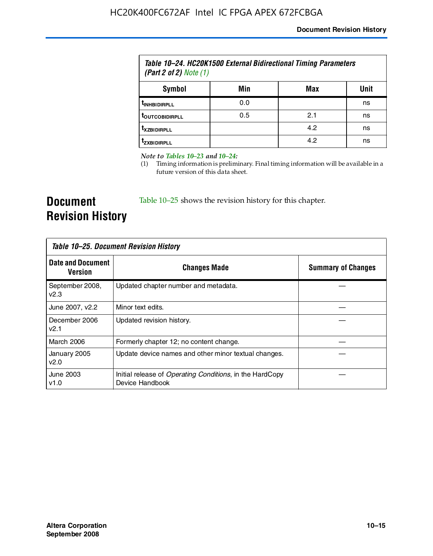| Table 10–24. HC20K1500 External Bidirectional Timing Parameters<br>(Part 2 of 2) Note $(1)$ |     |     |      |
|---------------------------------------------------------------------------------------------|-----|-----|------|
| Symbol                                                                                      | Min | Max | Unit |
| <b><i>UNHBIDIRPLL</i></b>                                                                   | 0.0 |     | ns   |
| <b><i>LOUTCOBIDIRPLL</i></b>                                                                | 0.5 | 2.1 | ns   |
| <b>T</b> XZBIDIRPLL                                                                         |     | 4.2 | ns   |
| Izxridirpi i                                                                                |     | 4.2 | ns   |

*Note to Tables 10–23 and 10–24:*

(1) Timing information is preliminary. Final timing information will be available in a future version of this data sheet.

**Document Revision History**

Table 10–25 shows the revision history for this chapter.

| Table 10–25. Document Revision History |                                                                                     |                           |  |
|----------------------------------------|-------------------------------------------------------------------------------------|---------------------------|--|
| <b>Date and Document</b><br>Version    | <b>Changes Made</b>                                                                 | <b>Summary of Changes</b> |  |
| September 2008,<br>v2.3                | Updated chapter number and metadata.                                                |                           |  |
| June 2007, v2.2                        | Minor text edits.                                                                   |                           |  |
| December 2006<br>v2.1                  | Updated revision history.                                                           |                           |  |
| <b>March 2006</b>                      | Formerly chapter 12; no content change.                                             |                           |  |
| January 2005<br>v2.0                   | Update device names and other minor textual changes.                                |                           |  |
| June 2003<br>v1.0                      | Initial release of <i>Operating Conditions</i> , in the HardCopy<br>Device Handbook |                           |  |